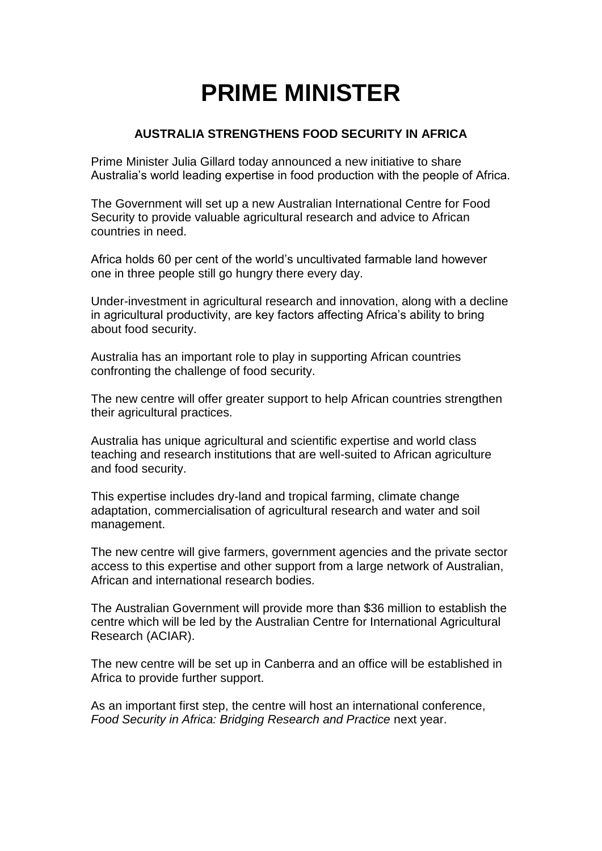## **PRIME MINISTER**

## **AUSTRALIA STRENGTHENS FOOD SECURITY IN AFRICA**

Prime Minister Julia Gillard today announced a new initiative to share Australia's world leading expertise in food production with the people of Africa.

The Government will set up a new Australian International Centre for Food Security to provide valuable agricultural research and advice to African countries in need.

Africa holds 60 per cent of the world's uncultivated farmable land however one in three people still go hungry there every day.

Under-investment in agricultural research and innovation, along with a decline in agricultural productivity, are key factors affecting Africa's ability to bring about food security.

Australia has an important role to play in supporting African countries confronting the challenge of food security.

The new centre will offer greater support to help African countries strengthen their agricultural practices.

Australia has unique agricultural and scientific expertise and world class teaching and research institutions that are well-suited to African agriculture and food security.

This expertise includes dry-land and tropical farming, climate change adaptation, commercialisation of agricultural research and water and soil management.

The new centre will give farmers, government agencies and the private sector access to this expertise and other support from a large network of Australian, African and international research bodies.

The Australian Government will provide more than \$36 million to establish the centre which will be led by the Australian Centre for International Agricultural Research (ACIAR).

The new centre will be set up in Canberra and an office will be established in Africa to provide further support.

As an important first step, the centre will host an international conference, *Food Security in Africa: Bridging Research and Practice next year.*